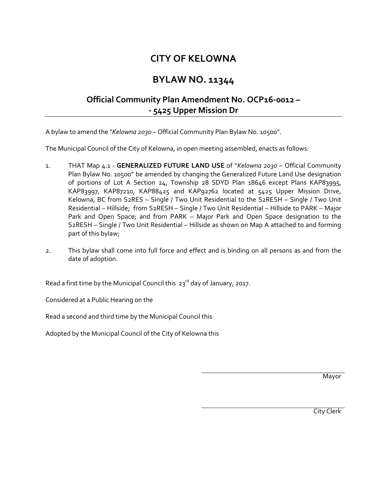## **CITY OF KELOWNA**

## **BYLAW NO. 11344**

## **Official Community Plan Amendment No. OCP16-0012 – - 5425 Upper Mission Dr**

A bylaw to amend the "*Kelowna 2030* – Official Community Plan Bylaw No. 10500".

The Municipal Council of the City of Kelowna, in open meeting assembled, enacts as follows:

- 1. THAT Map 4.1 **GENERALIZED FUTURE LAND USE** of "*Kelowna 2030* Official Community Plan Bylaw No. 10500" be amended by changing the Generalized Future Land Use designation of portions of Lot A Section 24, Township 28 SDYD Plan 18646 except Plans KAP83995, KAP83997, KAP87210, KAP88425 and KAP92762 located at 5425 Upper Mission Drive, Kelowna, BC from S2RES – Single / Two Unit Residential to the S2RESH – Single / Two Unit Residential – Hillside; from S2RESH – Single / Two Unit Residential – Hillside to PARK – Major Park and Open Space; and from PARK – Major Park and Open Space designation to the S2RESH – Single / Two Unit Residential – Hillside as shown on Map A attached to and forming part of this bylaw;
- 2. This bylaw shall come into full force and effect and is binding on all persons as and from the date of adoption.

Read a first time by the Municipal Council this  $23^{rd}$  day of January, 2017.

Considered at a Public Hearing on the

Read a second and third time by the Municipal Council this

Adopted by the Municipal Council of the City of Kelowna this

**Mayor** 

City Clerk